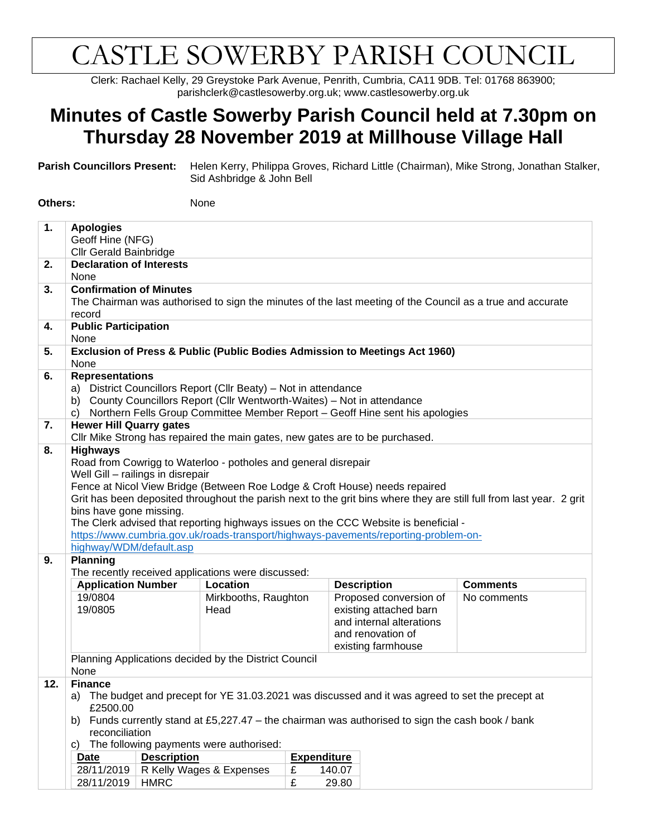## CASTLE SOWERBY PARISH COUNCIL

Clerk: Rachael Kelly, 29 Greystoke Park Avenue, Penrith, Cumbria, CA11 9DB. Tel: 01768 863900; parishclerk@castlesowerby.org.uk; www.castlesowerby.org.uk

## **Minutes of Castle Sowerby Parish Council held at 7.30pm on Thursday 28 November 2019 at Millhouse Village Hall**

**Parish Councillors Present:** Helen Kerry, Philippa Groves, Richard Little (Chairman), Mike Strong, Jonathan Stalker, Sid Ashbridge & John Bell

**Others:** None

| 1.  | <b>Apologies</b><br>Geoff Hine (NFG)                                                                                  |                                                                                                                                             |                                                                              |                    |                              |                                                                                                |                                                                                                                      |  |  |  |
|-----|-----------------------------------------------------------------------------------------------------------------------|---------------------------------------------------------------------------------------------------------------------------------------------|------------------------------------------------------------------------------|--------------------|------------------------------|------------------------------------------------------------------------------------------------|----------------------------------------------------------------------------------------------------------------------|--|--|--|
| 2.  | <b>Cllr Gerald Bainbridge</b><br><b>Declaration of Interests</b>                                                      |                                                                                                                                             |                                                                              |                    |                              |                                                                                                |                                                                                                                      |  |  |  |
|     | None                                                                                                                  |                                                                                                                                             |                                                                              |                    |                              |                                                                                                |                                                                                                                      |  |  |  |
| 3.  | <b>Confirmation of Minutes</b>                                                                                        |                                                                                                                                             |                                                                              |                    |                              |                                                                                                |                                                                                                                      |  |  |  |
|     | record                                                                                                                |                                                                                                                                             |                                                                              |                    |                              |                                                                                                | The Chairman was authorised to sign the minutes of the last meeting of the Council as a true and accurate            |  |  |  |
| 4.  | <b>Public Participation</b>                                                                                           |                                                                                                                                             |                                                                              |                    |                              |                                                                                                |                                                                                                                      |  |  |  |
|     | None                                                                                                                  |                                                                                                                                             |                                                                              |                    |                              |                                                                                                |                                                                                                                      |  |  |  |
| 5.  | None                                                                                                                  |                                                                                                                                             |                                                                              |                    |                              | Exclusion of Press & Public (Public Bodies Admission to Meetings Act 1960)                     |                                                                                                                      |  |  |  |
| 6.  |                                                                                                                       | <b>Representations</b>                                                                                                                      |                                                                              |                    |                              |                                                                                                |                                                                                                                      |  |  |  |
|     |                                                                                                                       | a) District Councillors Report (Cllr Beaty) - Not in attendance<br>b) County Councillors Report (Cllr Wentworth-Waites) - Not in attendance |                                                                              |                    |                              |                                                                                                |                                                                                                                      |  |  |  |
|     |                                                                                                                       |                                                                                                                                             |                                                                              |                    |                              |                                                                                                |                                                                                                                      |  |  |  |
| 7.  | <b>Hewer Hill Quarry gates</b>                                                                                        |                                                                                                                                             |                                                                              |                    |                              | c) Northern Fells Group Committee Member Report - Geoff Hine sent his apologies                |                                                                                                                      |  |  |  |
|     |                                                                                                                       |                                                                                                                                             | Cllr Mike Strong has repaired the main gates, new gates are to be purchased. |                    |                              |                                                                                                |                                                                                                                      |  |  |  |
| 8.  | <b>Highways</b>                                                                                                       |                                                                                                                                             |                                                                              |                    |                              |                                                                                                |                                                                                                                      |  |  |  |
|     |                                                                                                                       |                                                                                                                                             | Road from Cowrigg to Waterloo - potholes and general disrepair               |                    |                              |                                                                                                |                                                                                                                      |  |  |  |
|     | Well Gill - railings in disrepair                                                                                     |                                                                                                                                             |                                                                              |                    |                              |                                                                                                |                                                                                                                      |  |  |  |
|     |                                                                                                                       |                                                                                                                                             | Fence at Nicol View Bridge (Between Roe Lodge & Croft House) needs repaired  |                    |                              |                                                                                                |                                                                                                                      |  |  |  |
|     |                                                                                                                       |                                                                                                                                             |                                                                              |                    |                              |                                                                                                | Grit has been deposited throughout the parish next to the grit bins where they are still full from last year. 2 grit |  |  |  |
|     | bins have gone missing.                                                                                               |                                                                                                                                             |                                                                              |                    |                              |                                                                                                |                                                                                                                      |  |  |  |
|     |                                                                                                                       |                                                                                                                                             |                                                                              |                    |                              | The Clerk advised that reporting highways issues on the CCC Website is beneficial -            |                                                                                                                      |  |  |  |
|     |                                                                                                                       |                                                                                                                                             |                                                                              |                    |                              | https://www.cumbria.gov.uk/roads-transport/highways-pavements/reporting-problem-on-            |                                                                                                                      |  |  |  |
|     | highway/WDM/default.asp                                                                                               |                                                                                                                                             |                                                                              |                    |                              |                                                                                                |                                                                                                                      |  |  |  |
| 9.  | <b>Planning</b>                                                                                                       |                                                                                                                                             |                                                                              |                    |                              |                                                                                                |                                                                                                                      |  |  |  |
|     |                                                                                                                       | The recently received applications were discussed:                                                                                          |                                                                              |                    |                              |                                                                                                |                                                                                                                      |  |  |  |
|     | <b>Application Number</b>                                                                                             |                                                                                                                                             | Location                                                                     |                    |                              | <b>Description</b>                                                                             | <b>Comments</b>                                                                                                      |  |  |  |
|     | 19/0804<br>19/0805                                                                                                    |                                                                                                                                             | Mirkbooths, Raughton                                                         |                    |                              | Proposed conversion of                                                                         | No comments                                                                                                          |  |  |  |
|     |                                                                                                                       |                                                                                                                                             | Head                                                                         |                    |                              | existing attached barn<br>and internal alterations                                             |                                                                                                                      |  |  |  |
|     |                                                                                                                       |                                                                                                                                             |                                                                              | and renovation of  |                              |                                                                                                |                                                                                                                      |  |  |  |
|     |                                                                                                                       |                                                                                                                                             |                                                                              | existing farmhouse |                              |                                                                                                |                                                                                                                      |  |  |  |
|     |                                                                                                                       |                                                                                                                                             | Planning Applications decided by the District Council                        |                    |                              |                                                                                                |                                                                                                                      |  |  |  |
|     | None                                                                                                                  |                                                                                                                                             |                                                                              |                    |                              |                                                                                                |                                                                                                                      |  |  |  |
| 12. | <b>Finance</b>                                                                                                        |                                                                                                                                             |                                                                              |                    |                              |                                                                                                |                                                                                                                      |  |  |  |
|     | a)<br>£2500.00                                                                                                        |                                                                                                                                             |                                                                              |                    |                              | The budget and precept for YE 31.03.2021 was discussed and it was agreed to set the precept at |                                                                                                                      |  |  |  |
|     | Funds currently stand at £5,227.47 - the chairman was authorised to sign the cash book / bank<br>b)<br>reconciliation |                                                                                                                                             |                                                                              |                    |                              |                                                                                                |                                                                                                                      |  |  |  |
|     | C)                                                                                                                    |                                                                                                                                             | The following payments were authorised:                                      |                    |                              |                                                                                                |                                                                                                                      |  |  |  |
|     | Date                                                                                                                  | <b>Description</b>                                                                                                                          |                                                                              |                    |                              |                                                                                                |                                                                                                                      |  |  |  |
|     |                                                                                                                       |                                                                                                                                             |                                                                              |                    |                              |                                                                                                |                                                                                                                      |  |  |  |
|     | 28/11/2019                                                                                                            |                                                                                                                                             | R Kelly Wages & Expenses                                                     | £                  | <b>Expenditure</b><br>140.07 |                                                                                                |                                                                                                                      |  |  |  |